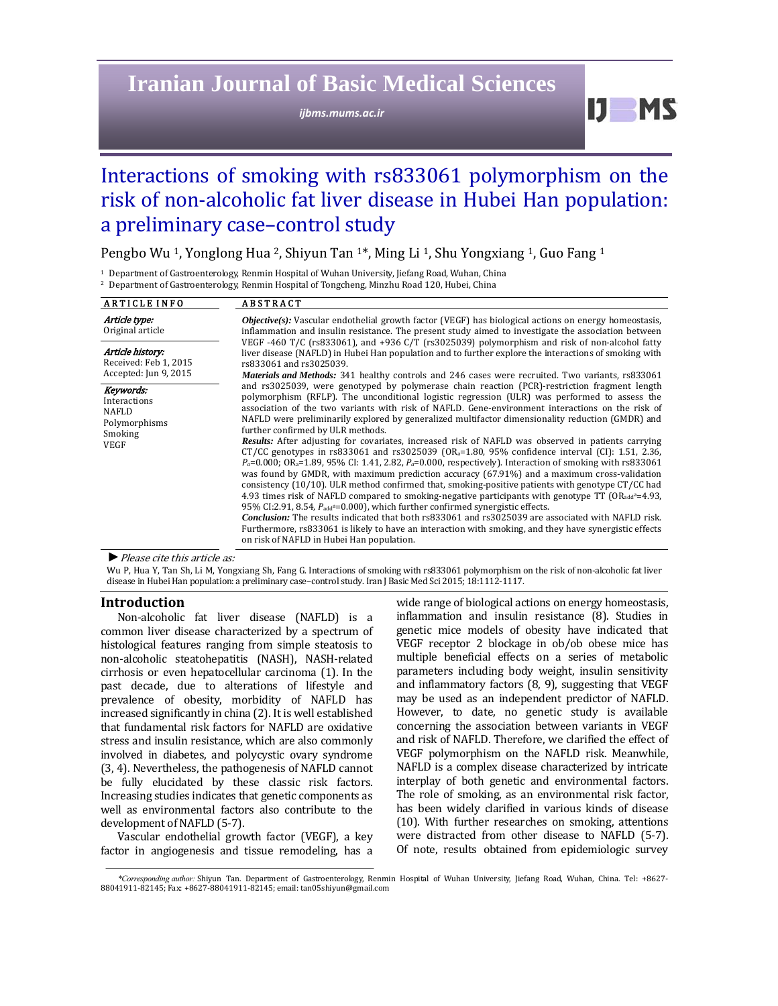## **Iranian Journal of Basic Medical Sciences**

*ijbms.mums.ac.ir*

 $IJ$  MS

# Interactions of smoking with rs833061 polymorphism on the risk of non-alcoholic fat liver disease in Hubei Han population: a preliminary case-control study

Pengbo Wu<sup>1</sup>, Yonglong Hua<sup>2</sup>, Shiyun Tan<sup>1\*</sup>, Ming Li<sup>1</sup>, Shu Yongxiang<sup>1</sup>, Guo Fang<sup>1</sup>

<sup>1</sup> Department of Gastroenterology, Renmin Hospital of Wuhan University, Jiefang Road, Wuhan, China

<sup>2</sup> Department of Gastroenterology, Renmin Hospital of Tongcheng, Minzhu Road 120, Hubei, China

| <b>ARTICLE INFO</b>                                                                  | <b>ABSTRACT</b>                                                                                                                                                                                                                                                                                                                                                                                                                                                                                                                                                                                                                                                                                                                                                                                                                                                                                                                                                                                                                                                                                                                                                                                                                                                                                                                                                                                                                                                                                     |
|--------------------------------------------------------------------------------------|-----------------------------------------------------------------------------------------------------------------------------------------------------------------------------------------------------------------------------------------------------------------------------------------------------------------------------------------------------------------------------------------------------------------------------------------------------------------------------------------------------------------------------------------------------------------------------------------------------------------------------------------------------------------------------------------------------------------------------------------------------------------------------------------------------------------------------------------------------------------------------------------------------------------------------------------------------------------------------------------------------------------------------------------------------------------------------------------------------------------------------------------------------------------------------------------------------------------------------------------------------------------------------------------------------------------------------------------------------------------------------------------------------------------------------------------------------------------------------------------------------|
| Article type:<br>Original article                                                    | <b><i>Objective(s)</i></b> : Vascular endothelial growth factor (VEGF) has biological actions on energy homeostasis,<br>inflammation and insulin resistance. The present study aimed to investigate the association between                                                                                                                                                                                                                                                                                                                                                                                                                                                                                                                                                                                                                                                                                                                                                                                                                                                                                                                                                                                                                                                                                                                                                                                                                                                                         |
| Article history:<br>Received: Feb 1, 2015<br>Accepted: Jun 9, 2015                   | VEGF -460 T/C (rs833061), and +936 C/T (rs3025039) polymorphism and risk of non-alcohol fatty<br>liver disease (NAFLD) in Hubei Han population and to further explore the interactions of smoking with<br>rs833061 and rs3025039.<br><i>Materials and Methods:</i> 341 healthy controls and 246 cases were recruited. Two variants, rs833061                                                                                                                                                                                                                                                                                                                                                                                                                                                                                                                                                                                                                                                                                                                                                                                                                                                                                                                                                                                                                                                                                                                                                        |
| Keywords:<br>Interactions<br><b>NAFLD</b><br>Polymorphisms<br>Smoking<br><b>VEGF</b> | and rs3025039, were genotyped by polymerase chain reaction (PCR)-restriction fragment length<br>polymorphism (RFLP). The unconditional logistic regression (ULR) was performed to assess the<br>association of the two variants with risk of NAFLD. Gene-environment interactions on the risk of<br>NAFLD were preliminarily explored by generalized multifactor dimensionality reduction (GMDR) and<br>further confirmed by ULR methods.<br><b>Results:</b> After adjusting for covariates, increased risk of NAFLD was observed in patients carrying<br>CT/CC genotypes in rs833061 and rs3025039 (OR <sub>a</sub> =1.80, 95% confidence interval (CI): 1.51, 2.36,<br>$P_a$ =0.000; OR <sub>a</sub> =1.89, 95% CI: 1.41, 2.82, $P_a$ =0.000, respectively). Interaction of smoking with rs833061<br>was found by GMDR, with maximum prediction accuracy (67.91%) and a maximum cross-validation<br>consistency $(10/10)$ . ULR method confirmed that, smoking-positive patients with genotype CT/CC had<br>4.93 times risk of NAFLD compared to smoking-negative participants with genotype TT (OR <sub>add</sub> <sup>a</sup> =4.93,<br>95% CI:2.91, 8.54, $P_{add} = 0.000$ , which further confirmed synergistic effects.<br><b>Conclusion:</b> The results indicated that both rs833061 and rs3025039 are associated with NAFLD risk.<br>Furthermore, rs833061 is likely to have an interaction with smoking, and they have synergistic effects<br>on risk of NAFLD in Hubei Han population. |

▶ Please cite this article as:

Wu P, Hua Y, Tan Sh, Li M, Yongxiang Sh, Fang G. Interactions of smoking with rs833061 polymorphism on the risk of non-alcoholic fat liver disease in Hubei Han population: a preliminary case-control study. Iran J Basic Med Sci 2015; 18:1112-1117.

#### **Introduction**

Non-alcoholic fat liver disease (NAFLD) is a common liver disease characterized by a spectrum of histological features ranging from simple steatosis to non-alcoholic steatohepatitis (NASH), NASH-related cirrhosis or even hepatocellular carcinoma (1). In the past decade, due to alterations of lifestyle and prevalence of obesity, morbidity of NAFLD has increased significantly in china (2). It is well established that fundamental risk factors for NAFLD are oxidative stress and insulin resistance, which are also commonly involved in diabetes, and polycystic ovary syndrome (3, 4). Nevertheless, the pathogenesis of NAFLD cannot be fully elucidated by these classic risk factors. Increasing studies indicates that genetic components as well as environmental factors also contribute to the development of NAFLD (5-7).

Vascular endothelial growth factor (VEGF), a key factor in angiogenesis and tissue remodeling, has a wide range of biological actions on energy homeostasis, inflammation and insulin resistance (8). Studies in genetic mice models of obesity have indicated that VEGF receptor 2 blockage in ob/ob obese mice has multiple beneficial effects on a series of metabolic parameters including body weight, insulin sensitivity and inflammatory factors (8, 9), suggesting that VEGF may be used as an independent predictor of NAFLD. However, to date, no genetic study is available concerning the association between variants in VEGF and risk of NAFLD. Therefore, we clarified the effect of VEGF polymorphism on the NAFLD risk. Meanwhile, NAFLD is a complex disease characterized by intricate interplay of both genetic and environmental factors. The role of smoking, as an environmental risk factor, has been widely clarified in various kinds of disease (10). With further researches on smoking, attentions were distracted from other disease to NAFLD (5-7). Of note, results obtained from epidemiologic survey 

*<sup>\*</sup>Corresponding author:* Shiyun Tan. Department of Gastroenterology, Renmin Hospital of Wuhan University, Jiefang Road, Wuhan, China. Tel: +8627‐ 88041911-82145; Fax: +8627-88041911-82145; email: tan05shiyun@gmail.com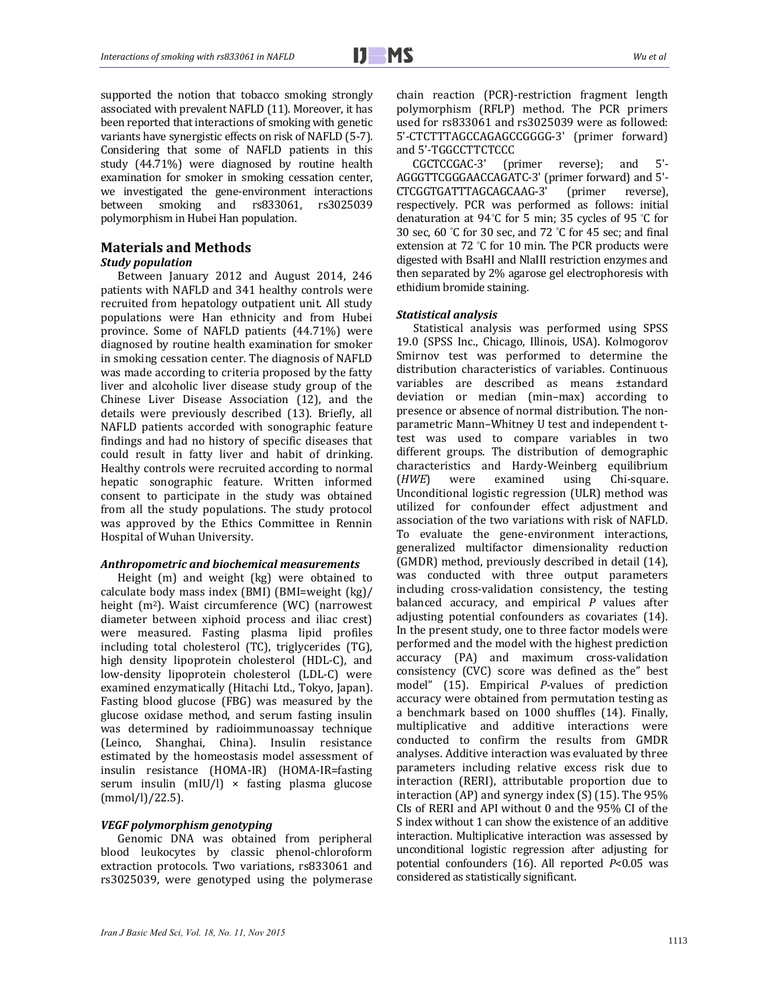supported the notion that tobacco smoking strongly associated with prevalent NAFLD (11). Moreover, it has been reported that interactions of smoking with genetic variants have synergistic effects on risk of NAFLD (5-7). Considering that some of NAFLD patients in this study (44.71%) were diagnosed by routine health examination for smoker in smoking cessation center, we investigated the gene-environment interactions between smoking and rs833061, rs3025039 polymorphism in Hubei Han population.

## **Materials and Methods**

### *Study population*

Between January 2012 and August 2014, 246 patients with NAFLD and 341 healthy controls were recruited from hepatology outpatient unit. All study populations were Han ethnicity and from Hubei province. Some of NAFLD patients (44.71%) were diagnosed by routine health examination for smoker in smoking cessation center. The diagnosis of NAFLD was made according to criteria proposed by the fatty liver and alcoholic liver disease study group of the Chinese Liver Disease Association (12), and the details were previously described (13). Briefly, all NAFLD patients accorded with sonographic feature findings and had no history of specific diseases that could result in fatty liver and habit of drinking. Healthy controls were recruited according to normal hepatic sonographic feature. Written informed consent to participate in the study was obtained from all the study populations. The study protocol was approved by the Ethics Committee in Rennin Hospital of Wuhan University.

#### *Anthropometric and biochemical measurements*

Height  $(m)$  and weight  $(kg)$  were obtained to calculate body mass index (BMI) (BMI=weight (kg)/ height (m<sup>2</sup>). Waist circumference (WC) (narrowest diameter between xiphoid process and iliac crest) were measured. Fasting plasma lipid profiles including total cholesterol (TC), triglycerides (TG), high density lipoprotein cholesterol (HDL-C), and low-density lipoprotein cholesterol (LDL-C) were examined enzymatically (Hitachi Ltd., Tokyo, Japan). Fasting blood glucose (FBG) was measured by the glucose oxidase method, and serum fasting insulin was determined by radioimmunoassay technique (Leinco, Shanghai, China). Insulin resistance estimated by the homeostasis model assessment of insulin resistance (HOMA‐IR) (HOMA‐IR=fasting serum insulin  $(mIU/l) \times$  fasting plasma glucose (mmol/l)/22.5). 

#### *VEGF polymorphism genotyping*

Genomic DNA was obtained from peripheral blood leukocytes by classic phenol‐chloroform extraction protocols. Two variations, rs833061 and rs3025039, were genotyped using the polymerase

CGCTCCGAC-3' (primer reverse); and 5'-AGGGTTCGGGAACCAGATC-3' (primer forward) and 5'-CTCGGTGATTTAGCAGCAAG‐3' (primer reverse), respectively. PCR was performed as follows: initial denaturation at 94°C for 5 min; 35 cycles of 95 °C for 30 sec, 60 °C for 30 sec, and 72 °C for 45 sec; and final extension at  $72$  °C for 10 min. The PCR products were digested with BsaHI and NlaIII restriction enzymes and then separated by 2% agarose gel electrophoresis with ethidium bromide staining.

#### *Statistical analysis*

Statistical analysis was performed using SPSS 19.0 (SPSS Inc., Chicago, Illinois, USA). Kolmogorov Smirnov test was performed to determine the distribution characteristics of variables. Continuous variables are described as means ±standard deviation or median (min-max) according to presence or absence of normal distribution. The nonparametric Mann-Whitney U test and independent ttest was used to compare variables in two different groups. The distribution of demographic characteristics and Hardy‐Weinberg equilibrium (*HWE*) were examined using Chi-square. Unconditional logistic regression (ULR) method was utilized for confounder effect adjustment and association of the two variations with risk of NAFLD. To evaluate the gene-environment interactions, generalized multifactor dimensionality reduction (GMDR) method, previously described in detail (14), was conducted with three output parameters including cross-validation consistency, the testing balanced accuracy, and empirical P values after adjusting potential confounders as covariates (14). In the present study, one to three factor models were performed and the model with the highest prediction accuracy (PA) and maximum cross-validation consistency (CVC) score was defined as the" best model" (15). Empirical *P*-values of prediction accuracy were obtained from permutation testing as a benchmark based on 1000 shuffles (14). Finally, multiplicative and additive interactions were conducted to confirm the results from GMDR analyses. Additive interaction was evaluated by three parameters including relative excess risk due to interaction (RERI), attributable proportion due to interaction  $AP$ ) and synergy index  $(S)$  (15). The 95% CIs of RERI and API without 0 and the 95% CI of the S index without 1 can show the existence of an additive interaction. Multiplicative interaction was assessed by unconditional logistic regression after adjusting for potential confounders (16). All reported *P*<0.05 was considered as statistically significant.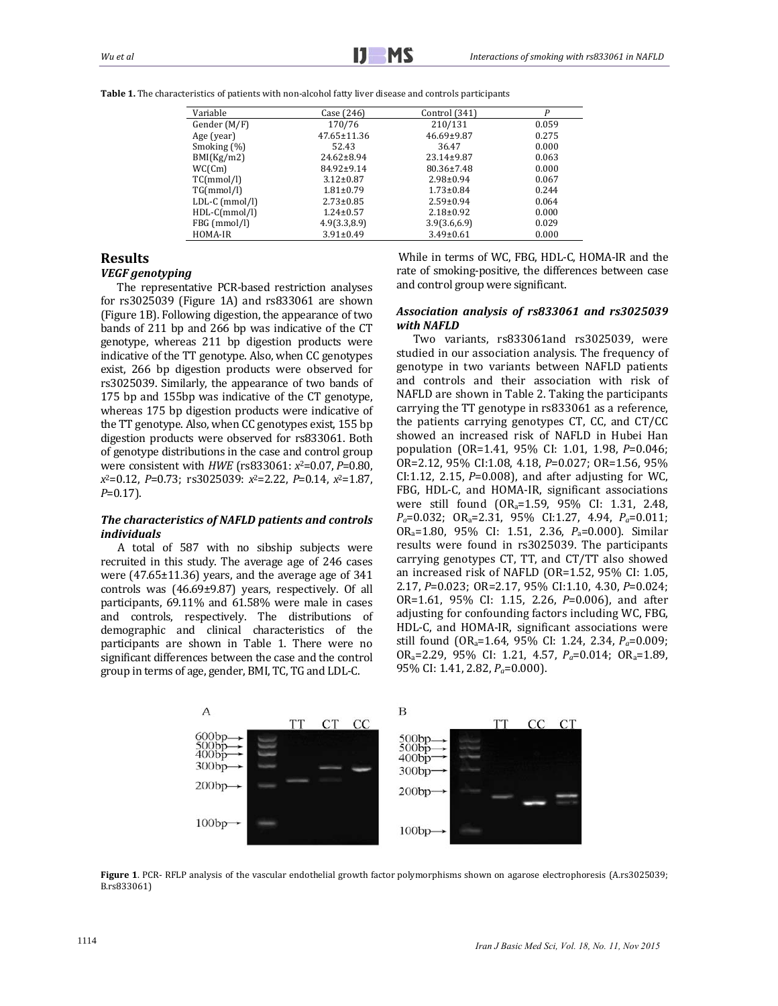| Variable       | Case (246)       | Control (341)    | P     |
|----------------|------------------|------------------|-------|
| Gender (M/F)   | 170/76           | 210/131          | 0.059 |
| Age (year)     | 47.65±11.36      | $46.69 \pm 9.87$ | 0.275 |
| Smoking (%)    | 52.43            | 36.47            | 0.000 |
| BMI(Kg/m2)     | $24.62 \pm 8.94$ | $23.14 \pm 9.87$ | 0.063 |
| WC(Cm)         | $84.92 \pm 9.14$ | 80.36±7.48       | 0.000 |
| TC(mmol/l)     | $3.12 \pm 0.87$  | $2.98 \pm 0.94$  | 0.067 |
| TG(mmol/l)     | $1.81 \pm 0.79$  | $1.73 \pm 0.84$  | 0.244 |
| LDL-C (mmol/l) | $2.73 \pm 0.85$  | $2.59 \pm 0.94$  | 0.064 |
| HDL-C(mmol/l)  | $1.24 \pm 0.57$  | $2.18 \pm 0.92$  | 0.000 |
| FBG (mmol/l)   | 4.9(3.3.8.9)     | 3.9(3.6.6.9)     | 0.029 |
| HOMA-IR        | $3.91 \pm 0.49$  | $3.49 \pm 0.61$  | 0.000 |

**Table 1.** The characteristics of patients with non-alcohol fatty liver disease and controls participants

## **Results**

#### *VEGF genotyping*

The representative PCR-based restriction analyses for  $rs3025039$  (Figure 1A) and  $rs833061$  are shown (Figure 1B). Following digestion, the appearance of two bands of 211 bp and 266 bp was indicative of the CT genotype, whereas 211 bp digestion products were indicative of the TT genotype. Also, when CC genotypes exist, 266 bp digestion products were observed for rs3025039. Similarly, the appearance of two bands of 175 bp and 155bp was indicative of the CT genotype, whereas 175 bp digestion products were indicative of the TT genotype. Also, when CC genotypes exist, 155 bp digestion products were observed for rs833061. Both of genotype distributions in the case and control group were consistent with *HWE* (rs833061:  $x^2$ =0.07, *P*=0.80, *x*2=0.12, *P*=0.73; rs3025039: *x*2=2.22, *P*=0.14, *x*2=1.87, *P*=0.17). 

#### *The characteristics of NAFLD patients and controls individuals*

A total of 587 with no sibship subjects were recruited in this study. The average age of 246 cases were  $(47.65\pm11.36)$  years, and the average age of 341 controls was  $(46.69\pm9.87)$  years, respectively. Of all participants,  $69.11\%$  and  $61.58\%$  were male in cases and controls, respectively. The distributions of demographic and clinical characteristics of the participants are shown in Table 1. There were no significant differences between the case and the control group in terms of age, gender, BMI, TC, TG and LDL-C.

While in terms of WC, FBG, HDL-C, HOMA-IR and the rate of smoking-positive, the differences between case and control group were significant.

#### *Association analysis of rs833061 and rs3025039*  $with$  *NAFLD*

Two variants, rs833061and rs3025039, were studied in our association analysis. The frequency of genotype in two variants between NAFLD patients and controls and their association with risk of NAFLD are shown in Table 2. Taking the participants carrying the  $TT$  genotype in  $rs833061$  as a reference, the patients carrying genotypes  $CT$ ,  $CC$ , and  $CT/CC$ showed an increased risk of NAFLD in Hubei Han population (OR=1.41, 95% CI: 1.01, 1.98, *P*=0.046; OR=2.12, 95% CI:1.08, 4.18, *P*=0.027; OR=1.56, 95% CI:1.12, 2.15,  $P=0.008$ ), and after adjusting for WC, FBG, HDL-C, and HOMA-IR, significant associations were still found  $(OR_a=1.59, 95\%$  CI: 1.31, 2.48, *Pa*=0.032; ORa=2.31, 95% CI:1.27, 4.94, *Pa*=0.011; ORa=1.80, 95% CI: 1.51, 2.36, *P*a=0.000). Similar results were found in rs3025039. The participants carrying genotypes CT, TT, and CT/TT also showed an increased risk of NAFLD (OR=1.52,  $95\%$  CI: 1.05, 2.17, *P*=0.023; OR=2.17, 95% CI:1.10, 4.30, *P*=0.024; OR=1.61, 95% CI: 1.15, 2.26, *P*=0.006), and after adjusting for confounding factors including WC, FBG, HDL-C, and HOMA-IR, significant associations were still found (OR<sub>a</sub>=1.64, 95% CI: 1.24, 2.34, *P<sub>a</sub>*=0.009; ORa=2.29, 95% CI: 1.21, 4.57, *Pa*=0.014; ORa=1.89, 95% CI: 1.41, 2.82, *P<sub>a</sub>*=0.000).



Figure 1. PCR- RFLP analysis of the vascular endothelial growth factor polymorphisms shown on agarose electrophoresis (A.rs3025039; B.rs833061)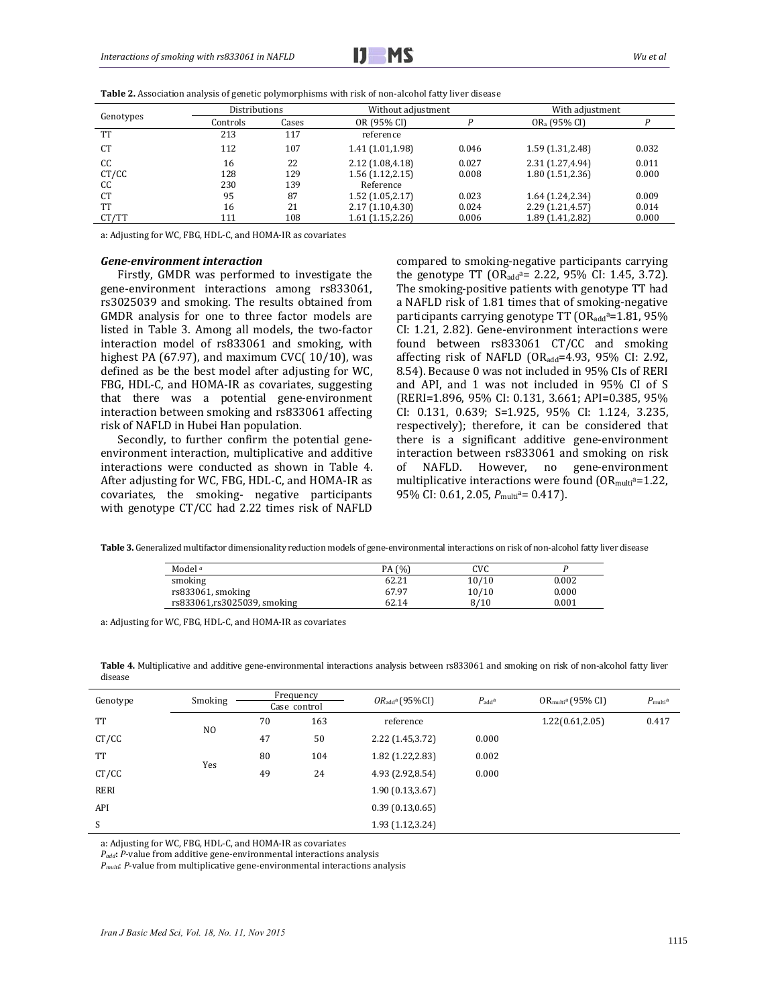$$
\mathbf{I} \mathbf{J} \quad \mathbf{M} \mathbf{S}
$$

| Genotypes | Distributions |       | Without adjustment |       | With adjustment          |       |
|-----------|---------------|-------|--------------------|-------|--------------------------|-------|
|           | Controls      | Cases | OR (95% CI)        |       | OR <sub>a</sub> (95% CI) |       |
| <b>TT</b> | 213           | 117   | reference          |       |                          |       |
| <b>CT</b> | 112           | 107   | 1.41 (1.01,1.98)   | 0.046 | 1.59 (1.31, 2.48)        | 0.032 |
| CC        | 16            | 22    | 2.12 (1.08,4.18)   | 0.027 | 2.31 (1.27,4.94)         | 0.011 |
| CT/CC     | 128           | 129   | 1.56(1.12, 2.15)   | 0.008 | 1.80 (1.51,2.36)         | 0.000 |
| CC        | 230           | 139   | Reference          |       |                          |       |
| <b>CT</b> | 95            | 87    | 1.52(1.05, 2.17)   | 0.023 | 1.64 (1.24, 2.34)        | 0.009 |
| TT        | 16            | 21    | 2.17(1.10, 4.30)   | 0.024 | 2.29 (1.21,4.57)         | 0.014 |
| CT/TT     | 111           | 108   | 1.61(1.15, 2.26)   | 0.006 | 1.89 (1.41,2.82)         | 0.000 |

**Table 2.** Association analysis of genetic polymorphisms with risk of non-alcohol fatty liver disease

a: Adjusting for WC, FBG, HDL-C, and HOMA-IR as covariates

#### *Gene‐environment interaction*

Firstly, GMDR was performed to investigate the gene-environment interactions among rs833061, rs3025039 and smoking. The results obtained from GMDR analysis for one to three factor models are listed in Table 3. Among all models, the two-factor interaction model of rs833061 and smoking, with highest PA  $(67.97)$ , and maximum CVC $(10/10)$ , was defined as be the best model after adjusting for WC, FBG, HDL-C, and HOMA-IR as covariates, suggesting that there was a potential gene-environment interaction between smoking and rs833061 affecting risk of NAFLD in Hubei Han population.

Secondly, to further confirm the potential geneenvironment interaction, multiplicative and additive interactions were conducted as shown in Table 4. After adjusting for WC, FBG, HDL-C, and HOMA-IR as covariates, the smoking- negative participants with genotype CT/CC had 2.22 times risk of NAFLD

compared to smoking-negative participants carrying the genotype TT  $(OR_{add}^a= 2.22, 95\% \text{ CI: } 1.45, 3.72).$ The smoking-positive patients with genotype TT had a NAFLD risk of 1.81 times that of smoking-negative participants carrying genotype  $TT$  ( $OR_{add}a=1.81$ ,  $95\%$ CI: 1.21, 2.82). Gene-environment interactions were found between rs833061 CT/CC and smoking affecting risk of NAFLD (OR<sub>add</sub>=4.93, 95% CI: 2.92, 8.54). Because 0 was not included in 95% CIs of RERI and API, and 1 was not included in 95% CI of S (RERI=1.896, 95% CI: 0.131, 3.661; API=0.385, 95% CI: 0.131, 0.639; S=1.925, 95% CI: 1.124, 3.235, respectively); therefore, it can be considered that there is a significant additive gene-environment interaction between rs833061 and smoking on risk of NAFLD. However, no gene-environment multiplicative interactions were found  $(OR_{mult}a=1.22,$ 95% CI: 0.61, 2.05,  $P_{\text{multi}}^{\text{a}}= 0.417$ .

Table 3. Generalized multifactor dimensionality reduction models of gene-environmental interactions on risk of non-alcohol fatty liver disease

| Model <sup>a</sup>          | (% )<br>PA | CVC   |       |
|-----------------------------|------------|-------|-------|
| smoking                     | 62.21      | 10/10 | 0.002 |
| rs833061, smoking           | 67.97      | 10/10 | 0.000 |
| rs833061,rs3025039, smoking | 62.14      | 8/10  | 0.001 |

a: Adjusting for WC, FBG, HDL-C, and HOMA-IR as covariates

Table 4. Multiplicative and additive gene-environmental interactions analysis between rs833061 and smoking on risk of non-alcohol fatty liver disease 

| Genotype  | Smoking        | Frequency<br>Case control |     | $OR_{add}^a$ (95%CI) | $P_{\text{add}}^{\text{a}}$ | $OR_{multi}^a (95\% \text{ CI})$ | $P_{\text{multi}}^{\text{a}}$ |
|-----------|----------------|---------------------------|-----|----------------------|-----------------------------|----------------------------------|-------------------------------|
|           |                |                           |     |                      |                             |                                  |                               |
| <b>TT</b> | N <sub>O</sub> | 70                        | 163 | reference            |                             | 1.22(0.61, 2.05)                 | 0.417                         |
| CT/CC     |                | 47                        | 50  | 2.22 (1.45,3.72)     | 0.000                       |                                  |                               |
| <b>TT</b> | Yes            | 80                        | 104 | 1.82 (1.22, 2.83)    | 0.002                       |                                  |                               |
| CT/CC     |                | 49                        | 24  | 4.93 (2.92,8.54)     | 0.000                       |                                  |                               |
| RERI      |                |                           |     | 1.90(0.13, 3.67)     |                             |                                  |                               |
| API       |                |                           |     | 0.39(0.13, 0.65)     |                             |                                  |                               |
| S         |                |                           |     | 1.93 (1.12,3.24)     |                             |                                  |                               |

a: Adjusting for WC, FBG, HDL-C, and HOMA-IR as covariates

*P<sub>add</sub>*: *P*-value from additive gene-environmental interactions analysis

*P<sub>multi</sub>*: *P*-value from multiplicative gene-environmental interactions analysis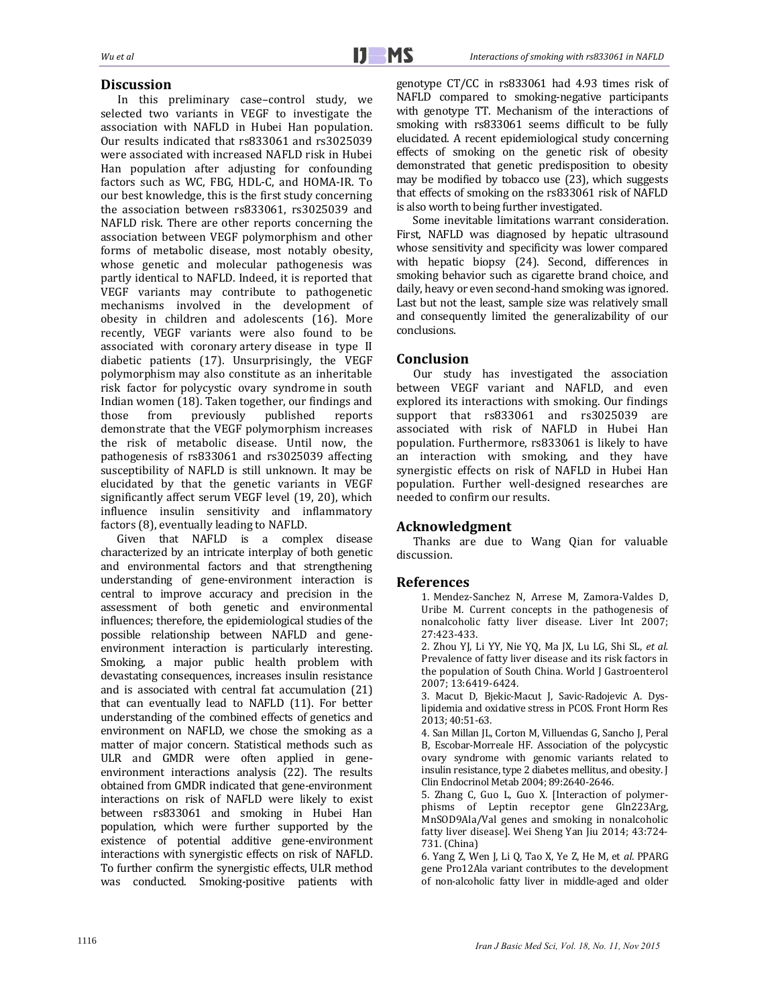## **Discussion**

In this preliminary case-control study, we selected two variants in VEGF to investigate the association with NAFLD in Hubei Han population. Our results indicated that rs833061 and rs3025039 were associated with increased NAFLD risk in Hubei Han population after adjusting for confounding factors such as WC, FBG, HDL-C, and HOMA-IR. To our best knowledge, this is the first study concerning the association between rs833061, rs3025039 and NAFLD risk. There are other reports concerning the association between VEGF polymorphism and other forms of metabolic disease, most notably obesity, whose genetic and molecular pathogenesis was partly identical to NAFLD. Indeed, it is reported that VEGF variants may contribute to pathogenetic mechanisms involved in the development of obesity in children and adolescents (16). More recently, VEGF variants were also found to be associated with coronary artery disease in type II diabetic patients (17). Unsurprisingly, the VEGF polymorphism may also constitute as an inheritable risk factor for polycystic ovary syndrome in south Indian women (18). Taken together, our findings and those from previously published reports demonstrate that the VEGF polymorphism increases the risk of metabolic disease. Until now, the pathogenesis of rs833061 and rs3025039 affecting susceptibility of NAFLD is still unknown. It may be elucidated by that the genetic variants in VEGF significantly affect serum VEGF level (19, 20), which influence insulin sensitivity and inflammatory factors (8), eventually leading to NAFLD.

Given that NAFLD is a complex disease characterized by an intricate interplay of both genetic and environmental factors and that strengthening understanding of gene-environment interaction is central to improve accuracy and precision in the assessment of both genetic and environmental influences; therefore, the epidemiological studies of the possible relationship between NAFLD and geneenvironment interaction is particularly interesting. Smoking, a major public health problem with devastating consequences, increases insulin resistance and is associated with central fat accumulation (21) that can eventually lead to NAFLD  $(11)$ . For better understanding of the combined effects of genetics and environment on NAFLD, we chose the smoking as a matter of major concern. Statistical methods such as ULR and GMDR were often applied in geneenvironment interactions analysis (22). The results obtained from GMDR indicated that gene-environment interactions on risk of NAFLD were likely to exist between rs833061 and smoking in Hubei Han population, which were further supported by the existence of potential additive gene-environment interactions with synergistic effects on risk of NAFLD. To further confirm the synergistic effects, ULR method was conducted. Smoking-positive patients with

genotype CT/CC in rs833061 had 4.93 times risk of NAFLD compared to smoking-negative participants with genotype TT. Mechanism of the interactions of smoking with rs833061 seems difficult to be fully elucidated. A recent epidemiological study concerning effects of smoking on the genetic risk of obesity demonstrated that genetic predisposition to obesity may be modified by tobacco use (23), which suggests that effects of smoking on the rs833061 risk of NAFLD is also worth to being further investigated.

Some inevitable limitations warrant consideration. First, NAFLD was diagnosed by hepatic ultrasound whose sensitivity and specificity was lower compared with hepatic biopsy (24). Second, differences in smoking behavior such as cigarette brand choice, and daily, heavy or even second-hand smoking was ignored. Last but not the least, sample size was relatively small and consequently limited the generalizability of our conclusions. 

## **Conclusion**

Our study has investigated the association between VEGF variant and NAFLD, and even explored its interactions with smoking. Our findings support that rs833061 and rs3025039 are associated with risk of NAFLD in Hubei Han population. Furthermore, rs833061 is likely to have an interaction with smoking, and they have synergistic effects on risk of NAFLD in Hubei Han population. Further well-designed researches are needed to confirm our results.

## Acknowledgment

Thanks are due to Wang Qian for valuable discussion. 

## **References**

1. Mendez-Sanchez N, Arrese M, Zamora-Valdes D, Uribe M. Current concepts in the pathogenesis of nonalcoholic fatty liver disease. Liver Int 2007; 27:423‐433. 

2. Zhou YJ, Li YY, Nie YQ, Ma JX, Lu LG, Shi SL, et al. Prevalence of fatty liver disease and its risk factors in the population of South China. World J Gastroenterol 2007; 13:6419‐6424. 

3. Macut D, Bjekic-Macut J, Savic-Radojevic A. Dyslipidemia and oxidative stress in PCOS. Front Horm Res 2013; 40:51‐63. 

4. San Millan JL, Corton M, Villuendas G, Sancho J, Peral B, Escobar-Morreale HF. Association of the polycystic ovary syndrome with genomic variants related to insulin resistance, type 2 diabetes mellitus, and obesity. J Clin Endocrinol Metab 2004; 89:2640-2646.

5. Zhang C, Guo L, Guo X. [Interaction of polymerphisms of Leptin receptor gene Gln223Arg, MnSOD9Ala/Val genes and smoking in nonalcoholic fatty liver disease]. Wei Sheng Yan Jiu 2014; 43:724-731. (China) 

6. Yang Z, Wen J, Li Q, Tao X, Ye Z, He M, et al. PPARG gene Pro12Ala variant contributes to the development of non-alcoholic fatty liver in middle-aged and older